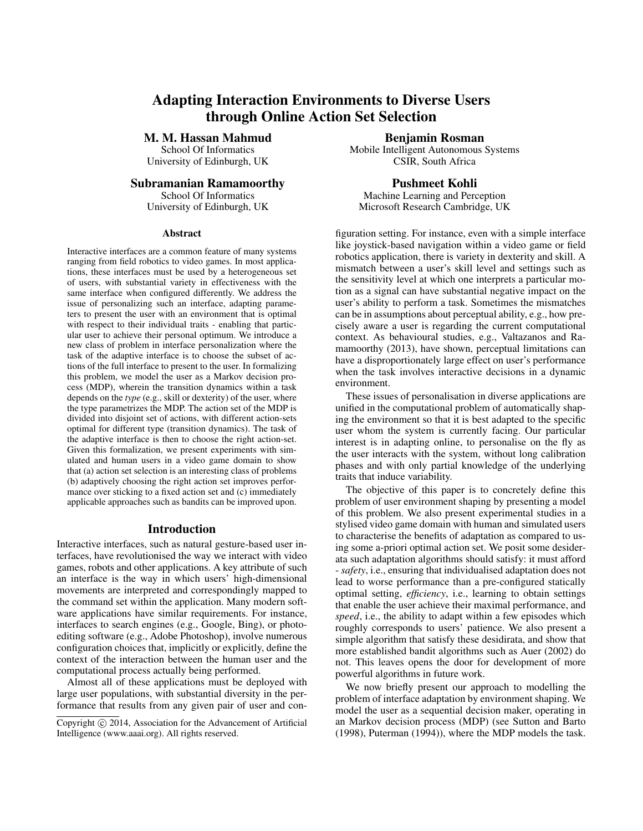# Adapting Interaction Environments to Diverse Users through Online Action Set Selection

M. M. Hassan Mahmud School Of Informatics University of Edinburgh, UK

## Subramanian Ramamoorthy

School Of Informatics University of Edinburgh, UK

#### Abstract

Interactive interfaces are a common feature of many systems ranging from field robotics to video games. In most applications, these interfaces must be used by a heterogeneous set of users, with substantial variety in effectiveness with the same interface when configured differently. We address the issue of personalizing such an interface, adapting parameters to present the user with an environment that is optimal with respect to their individual traits - enabling that particular user to achieve their personal optimum. We introduce a new class of problem in interface personalization where the task of the adaptive interface is to choose the subset of actions of the full interface to present to the user. In formalizing this problem, we model the user as a Markov decision process (MDP), wherein the transition dynamics within a task depends on the *type* (e.g., skill or dexterity) of the user, where the type parametrizes the MDP. The action set of the MDP is divided into disjoint set of actions, with different action-sets optimal for different type (transition dynamics). The task of the adaptive interface is then to choose the right action-set. Given this formalization, we present experiments with simulated and human users in a video game domain to show that (a) action set selection is an interesting class of problems (b) adaptively choosing the right action set improves performance over sticking to a fixed action set and (c) immediately applicable approaches such as bandits can be improved upon.

#### Introduction

Interactive interfaces, such as natural gesture-based user interfaces, have revolutionised the way we interact with video games, robots and other applications. A key attribute of such an interface is the way in which users' high-dimensional movements are interpreted and correspondingly mapped to the command set within the application. Many modern software applications have similar requirements. For instance, interfaces to search engines (e.g., Google, Bing), or photoediting software (e.g., Adobe Photoshop), involve numerous configuration choices that, implicitly or explicitly, define the context of the interaction between the human user and the computational process actually being performed.

Almost all of these applications must be deployed with large user populations, with substantial diversity in the performance that results from any given pair of user and con-

Benjamin Rosman Mobile Intelligent Autonomous Systems CSIR, South Africa

Pushmeet Kohli Machine Learning and Perception Microsoft Research Cambridge, UK

figuration setting. For instance, even with a simple interface like joystick-based navigation within a video game or field robotics application, there is variety in dexterity and skill. A mismatch between a user's skill level and settings such as the sensitivity level at which one interprets a particular motion as a signal can have substantial negative impact on the user's ability to perform a task. Sometimes the mismatches can be in assumptions about perceptual ability, e.g., how precisely aware a user is regarding the current computational context. As behavioural studies, e.g., Valtazanos and Ramamoorthy (2013), have shown, perceptual limitations can have a disproportionately large effect on user's performance when the task involves interactive decisions in a dynamic environment.

These issues of personalisation in diverse applications are unified in the computational problem of automatically shaping the environment so that it is best adapted to the specific user whom the system is currently facing. Our particular interest is in adapting online, to personalise on the fly as the user interacts with the system, without long calibration phases and with only partial knowledge of the underlying traits that induce variability.

The objective of this paper is to concretely define this problem of user environment shaping by presenting a model of this problem. We also present experimental studies in a stylised video game domain with human and simulated users to characterise the benefits of adaptation as compared to using some a-priori optimal action set. We posit some desiderata such adaptation algorithms should satisfy: it must afford - *safety*, i.e., ensuring that individualised adaptation does not lead to worse performance than a pre-configured statically optimal setting, *efficiency*, i.e., learning to obtain settings that enable the user achieve their maximal performance, and *speed*, i.e., the ability to adapt within a few episodes which roughly corresponds to users' patience. We also present a simple algorithm that satisfy these desidirata, and show that more established bandit algorithms such as Auer (2002) do not. This leaves opens the door for development of more powerful algorithms in future work.

We now briefly present our approach to modelling the problem of interface adaptation by environment shaping. We model the user as a sequential decision maker, operating in an Markov decision process (MDP) (see Sutton and Barto (1998), Puterman (1994)), where the MDP models the task.

Copyright  $\odot$  2014, Association for the Advancement of Artificial Intelligence (www.aaai.org). All rights reserved.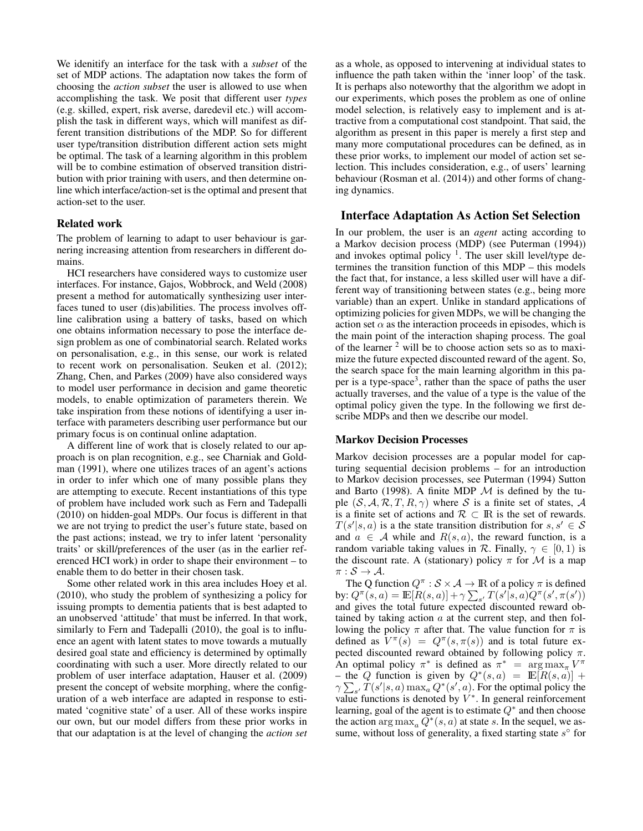We idenitify an interface for the task with a *subset* of the set of MDP actions. The adaptation now takes the form of choosing the *action subset* the user is allowed to use when accomplishing the task. We posit that different user *types* (e.g. skilled, expert, risk averse, daredevil etc.) will accomplish the task in different ways, which will manifest as different transition distributions of the MDP. So for different user type/transition distribution different action sets might be optimal. The task of a learning algorithm in this problem will be to combine estimation of observed transition distribution with prior training with users, and then determine online which interface/action-set is the optimal and present that action-set to the user.

## Related work

The problem of learning to adapt to user behaviour is garnering increasing attention from researchers in different domains.

HCI researchers have considered ways to customize user interfaces. For instance, Gajos, Wobbrock, and Weld (2008) present a method for automatically synthesizing user interfaces tuned to user (dis)abilities. The process involves offline calibration using a battery of tasks, based on which one obtains information necessary to pose the interface design problem as one of combinatorial search. Related works on personalisation, e.g., in this sense, our work is related to recent work on personalisation. Seuken et al. (2012); Zhang, Chen, and Parkes (2009) have also considered ways to model user performance in decision and game theoretic models, to enable optimization of parameters therein. We take inspiration from these notions of identifying a user interface with parameters describing user performance but our primary focus is on continual online adaptation.

A different line of work that is closely related to our approach is on plan recognition, e.g., see Charniak and Goldman (1991), where one utilizes traces of an agent's actions in order to infer which one of many possible plans they are attempting to execute. Recent instantiations of this type of problem have included work such as Fern and Tadepalli (2010) on hidden-goal MDPs. Our focus is different in that we are not trying to predict the user's future state, based on the past actions; instead, we try to infer latent 'personality traits' or skill/preferences of the user (as in the earlier referenced HCI work) in order to shape their environment – to enable them to do better in their chosen task.

Some other related work in this area includes Hoey et al. (2010), who study the problem of synthesizing a policy for issuing prompts to dementia patients that is best adapted to an unobserved 'attitude' that must be inferred. In that work, similarly to Fern and Tadepalli (2010), the goal is to influence an agent with latent states to move towards a mutually desired goal state and efficiency is determined by optimally coordinating with such a user. More directly related to our problem of user interface adaptation, Hauser et al. (2009) present the concept of website morphing, where the configuration of a web interface are adapted in response to estimated 'cognitive state' of a user. All of these works inspire our own, but our model differs from these prior works in that our adaptation is at the level of changing the *action set*

as a whole, as opposed to intervening at individual states to influence the path taken within the 'inner loop' of the task. It is perhaps also noteworthy that the algorithm we adopt in our experiments, which poses the problem as one of online model selection, is relatively easy to implement and is attractive from a computational cost standpoint. That said, the algorithm as present in this paper is merely a first step and many more computational procedures can be defined, as in these prior works, to implement our model of action set selection. This includes consideration, e.g., of users' learning behaviour (Rosman et al. (2014)) and other forms of changing dynamics.

# Interface Adaptation As Action Set Selection

In our problem, the user is an *agent* acting according to a Markov decision process (MDP) (see Puterman (1994)) and invokes optimal policy  $\frac{1}{1}$ . The user skill level/type determines the transition function of this MDP – this models the fact that, for instance, a less skilled user will have a different way of transitioning between states (e.g., being more variable) than an expert. Unlike in standard applications of optimizing policies for given MDPs, we will be changing the action set  $\alpha$  as the interaction proceeds in episodes, which is the main point of the interaction shaping process. The goal of the learner  $2$  will be to choose action sets so as to maximize the future expected discounted reward of the agent. So, the search space for the main learning algorithm in this paper is a type-space<sup>3</sup>, rather than the space of paths the user actually traverses, and the value of a type is the value of the optimal policy given the type. In the following we first describe MDPs and then we describe our model.

#### Markov Decision Processes

Markov decision processes are a popular model for capturing sequential decision problems – for an introduction to Markov decision processes, see Puterman (1994) Sutton and Barto (1998). A finite MDP  $M$  is defined by the tuple  $(S, A, R, T, R, \gamma)$  where S is a finite set of states, A is a finite set of actions and  $\mathcal{R} \subset \mathbb{R}$  is the set of rewards.  $T(s'|s, a)$  is a the state transition distribution for  $s, s' \in S$ and  $a \in A$  while and  $R(s, a)$ , the reward function, is a random variable taking values in  $\mathcal R$ . Finally,  $\gamma \in [0, 1)$  is the discount rate. A (stationary) policy  $\pi$  for M is a map  $\pi : \mathcal{S} \to \mathcal{A}.$ 

The Q function  $Q^{\pi}: \mathcal{S} \times \mathcal{A} \rightarrow \mathbb{R}$  of a policy  $\pi$  is defined by:  $Q^{\pi}(s, a) = \mathbb{E}[R(s, a)] + \gamma \sum_{s'} T(s' | s, a) Q^{\pi}(s', \pi(s'))$ and gives the total future expected discounted reward obtained by taking action  $a$  at the current step, and then following the policy  $\pi$  after that. The value function for  $\pi$  is defined as  $V^{\pi}(s) = Q^{\pi}(s, \pi(s))$  and is total future expected discounted reward obtained by following policy  $\pi$ . An optimal policy  $\pi^*$  is defined as  $\pi^* = \arg \max_{\pi} V^{\pi}$ – the Q function is given by  $Q^*(s, a) = \mathbb{E}[R(s, a)]$  +  $\gamma \sum_{s'} T(s'|s, a) \max_{a} Q^*(s', a)$ . For the optimal policy the value functions is denoted by  $V^*$ . In general reinforcement learning, goal of the agent is to estimate  $Q^*$  and then choose the action  $\arg \max_a \tilde{Q}^*(s, a)$  at state s. In the sequel, we assume, without loss of generality, a fixed starting state  $s^{\circ}$  for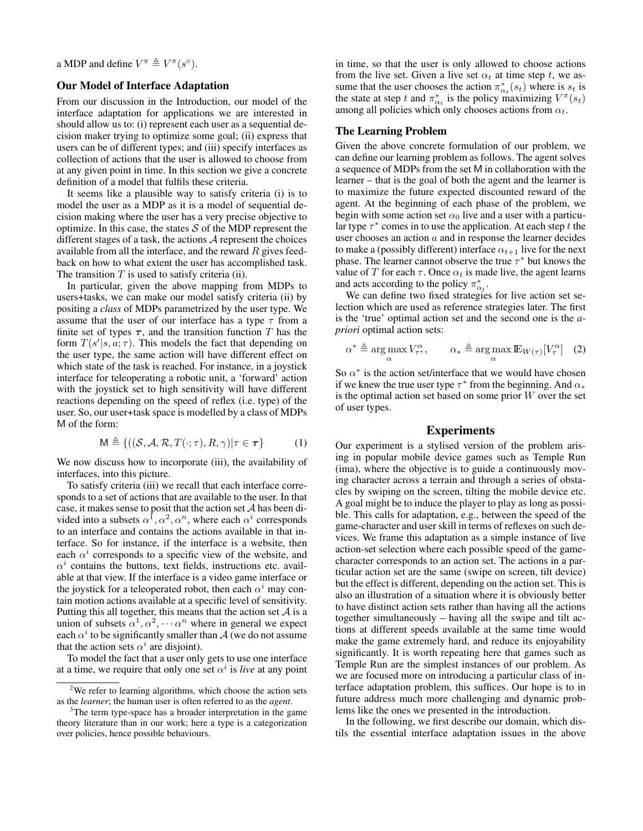a MDP and define  $V^{\pi} \triangleq V^{\pi}(s^{\circ}).$ 

# Our Model of Interface Adaptation

From our discussion in the Introduction, our model of the interface adaptation for applications we are interested in should allow us to: (i) represent each user as a sequential decision maker trying to optimize some goal; (ii) express that users can be of different types; and (iii) specify interfaces as collection of actions that the user is allowed to choose from at any given point in time. In this section we give a concrete definition of a model that fulfils these criteria.

It seems like a plausible way to satisfy criteria (i) is to model the user as a MDP as it is a model of sequential decision making where the user has a very precise objective to optimize. In this case, the states  $S$  of the MDP represent the different stages of a task, the actions  $A$  represent the choices available from all the interface, and the reward  $R$  gives feedback on how to what extent the user has accomplished task. The transition  $T$  is used to satisfy criteria (ii).

In particular, given the above mapping from MDPs to users+tasks, we can make our model satisfy criteria (ii) by positing a *class* of MDPs parametrized by the user type. We assume that the user of our interface has a type  $\tau$  from a finite set of types  $\tau$ , and the transition function T has the form  $T(s'|s, a; \tau)$ . This models the fact that depending on the user type, the same action will have different effect on which state of the task is reached. For instance, in a joystick interface for teleoperating a robotic unit, a 'forward' action with the joystick set to high sensitivity will have different reactions depending on the speed of reflex (i.e. type) of the user. So, our user+task space is modelled by a class of MDPs M of the form:

$$
\mathsf{M} \triangleq \{ ((\mathcal{S}, \mathcal{A}, \mathcal{R}, T(\cdot; \tau), R, \gamma) | \tau \in \tau \}
$$
(1)

We now discuss how to incorporate (iii), the availability of interfaces, into this picture.

To satisfy criteria (iii) we recall that each interface corresponds to a set of actions that are available to the user. In that case, it makes sense to posit that the action set A has been divided into a subsets  $\alpha^1, \alpha^2, \alpha^n$ , where each  $\alpha^i$  corresponds to an interface and contains the actions available in that interface. So for instance, if the interface is a website, then each  $\alpha^i$  corresponds to a specific view of the website, and  $\alpha^{i}$  contains the buttons, text fields, instructions etc. available at that view. If the interface is a video game interface or the joystick for a teleoperated robot, then each  $\alpha^i$  may contain motion actions available at a specific level of sensitivity. Putting this all together, this means that the action set  $A$  is a union of subsets  $\alpha^1, \alpha^2, \cdots \alpha^n$  where in general we expect each  $\alpha^i$  to be significantly smaller than  $\mathcal{A}$  (we do not assume that the action sets  $\alpha^i$  are disjoint).

To model the fact that a user only gets to use one interface at a time, we require that only one set  $\alpha^i$  is *live* at any point

in time, so that the user is only allowed to choose actions from the live set. Given a live set  $\alpha_t$  at time step t, we assume that the user chooses the action  $\pi_{\alpha_t}^*(s_t)$  where is  $s_t$  is the state at step t and  $\pi_{\alpha_t}^*$  is the policy maximizing  $V^{\pi}(s_t)$ among all policies which only chooses actions from  $\alpha_t$ .

## The Learning Problem

Given the above concrete formulation of our problem, we can define our learning problem as follows. The agent solves a sequence of MDPs from the set M in collaboration with the learner – that is the goal of both the agent and the learner is to maximize the future expected discounted reward of the agent. At the beginning of each phase of the problem, we begin with some action set  $\alpha_0$  live and a user with a particular type  $\tau^*$  comes in to use the application. At each step t the user chooses an action  $a$  and in response the learner decides to make a (possibly different) interface  $\alpha_{t+1}$  live for the next phase. The learner cannot observe the true  $\tau^*$  but knows the value of T for each  $\tau$ . Once  $\alpha_t$  is made live, the agent learns and acts according to the policy  $\pi_{\alpha_t}^*$ .

We can define two fixed strategies for live action set selection which are used as reference strategies later. The first is the 'true' optimal action set and the second one is the *apriori* optimal action sets:

$$
\alpha^* \triangleq \argmax_{\alpha} V_{\tau^*}^{\alpha}, \qquad \alpha_* \triangleq \argmax_{\alpha} \mathbb{E}_{W(\tau)}[V_{\tau}^{\alpha}] \quad (2)
$$

So  $\alpha^*$  is the action set/interface that we would have chosen if we knew the true user type  $\tau^*$  from the beginning. And  $\alpha_*$ is the optimal action set based on some prior  $W$  over the set of user types.

## Experiments

Our experiment is a stylised version of the problem arising in popular mobile device games such as Temple Run (ima), where the objective is to guide a continuously moving character across a terrain and through a series of obstacles by swiping on the screen, tilting the mobile device etc. A goal might be to induce the player to play as long as possible. This calls for adaptation, e.g., between the speed of the game-character and user skill in terms of reflexes on such devices. We frame this adaptation as a simple instance of live action-set selection where each possible speed of the gamecharacter corresponds to an action set. The actions in a particular action set are the same (swipe on screen, tilt device) but the effect is different, depending on the action set. This is also an illustration of a situation where it is obviously better to have distinct action sets rather than having all the actions together simultaneously – having all the swipe and tilt actions at different speeds available at the same time would make the game extremely hard, and reduce its enjoyability significantly. It is worth repeating here that games such as Temple Run are the simplest instances of our problem. As we are focused more on introducing a particular class of interface adaptation problem, this suffices. Our hope is to in future address much more challenging and dynamic problems like the ones we presented in the introduction.

In the following, we first describe our domain, which distils the essential interface adaptation issues in the above

<sup>&</sup>lt;sup>2</sup>We refer to learning algorithms, which choose the action sets as the *learner*; the human user is often referred to as the *agent*.

<sup>&</sup>lt;sup>3</sup>The term type-space has a broader interpretation in the game theory literature than in our work; here a type is a categorization over policies, hence possible behaviours.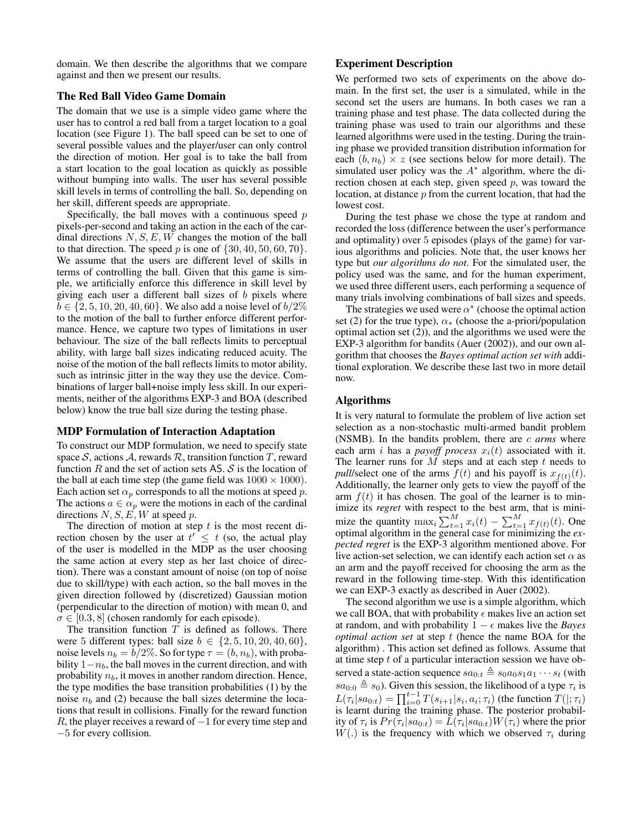domain. We then describe the algorithms that we compare against and then we present our results.

## The Red Ball Video Game Domain

The domain that we use is a simple video game where the user has to control a red ball from a target location to a goal location (see Figure 1). The ball speed can be set to one of several possible values and the player/user can only control the direction of motion. Her goal is to take the ball from a start location to the goal location as quickly as possible without bumping into walls. The user has several possible skill levels in terms of controlling the ball. So, depending on her skill, different speeds are appropriate.

Specifically, the ball moves with a continuous speed  $p$ pixels-per-second and taking an action in the each of the cardinal directions  $N, S, E, W$  changes the motion of the ball to that direction. The speed p is one of  $\{30, 40, 50, 60, 70\}$ . We assume that the users are different level of skills in terms of controlling the ball. Given that this game is simple, we artificially enforce this difference in skill level by giving each user a different ball sizes of  $b$  pixels where  $b \in \{2, 5, 10, 20, 40, 60\}$ . We also add a noise level of  $b/2\%$ to the motion of the ball to further enforce different performance. Hence, we capture two types of limitations in user behaviour. The size of the ball reflects limits to perceptual ability, with large ball sizes indicating reduced acuity. The noise of the motion of the ball reflects limits to motor ability, such as intrinsic jitter in the way they use the device. Combinations of larger ball+noise imply less skill. In our experiments, neither of the algorithms EXP-3 and BOA (described below) know the true ball size during the testing phase.

### MDP Formulation of Interaction Adaptation

To construct our MDP formulation, we need to specify state space S, actions A, rewards R, transition function T, reward function  $R$  and the set of action sets AS.  $S$  is the location of the ball at each time step (the game field was  $1000 \times 1000$ ). Each action set  $\alpha_p$  corresponds to all the motions at speed p. The actions  $a \in \alpha_p$  were the motions in each of the cardinal directions  $N, S, E, W$  at speed p.

The direction of motion at step  $t$  is the most recent direction chosen by the user at  $t' \leq t$  (so, the actual play of the user is modelled in the MDP as the user choosing the same action at every step as her last choice of direction). There was a constant amount of noise (on top of noise due to skill/type) with each action, so the ball moves in the given direction followed by (discretized) Gaussian motion (perpendicular to the direction of motion) with mean 0, and  $\sigma \in [0.3, 8]$  (chosen randomly for each episode).

The transition function  $T$  is defined as follows. There were 5 different types: ball size  $b \in \{2, 5, 10, 20, 40, 60\},\$ noise levels  $n_b = b/2\%$ . So for type  $\tau = (b, n_b)$ , with probability  $1-n<sub>b</sub>$ , the ball moves in the current direction, and with probability  $n_b$ , it moves in another random direction. Hence, the type modifies the base transition probabilities (1) by the noise  $n_b$  and (2) because the ball sizes determine the locations that result in collisions. Finally for the reward function R, the player receives a reward of  $-1$  for every time step and −5 for every collision.

# Experiment Description

We performed two sets of experiments on the above domain. In the first set, the user is a simulated, while in the second set the users are humans. In both cases we ran a training phase and test phase. The data collected during the training phase was used to train our algorithms and these learned algorithms were used in the testing. During the training phase we provided transition distribution information for each  $(b, n_b) \times z$  (see sections below for more detail). The simulated user policy was the  $A^*$  algorithm, where the direction chosen at each step, given speed  $p$ , was toward the location, at distance  $p$  from the current location, that had the lowest cost.

During the test phase we chose the type at random and recorded the loss (difference between the user's performance and optimality) over 5 episodes (plays of the game) for various algorithms and policies. Note that, the user knows her type but *our algorithms do not*. For the simulated user, the policy used was the same, and for the human experiment, we used three different users, each performing a sequence of many trials involving combinations of ball sizes and speeds.

The strategies we used were  $\alpha^*$  (choose the optimal action set (2) for the true type),  $\alpha_{*}$  (choose the a-priori/population optimal action set (2)), and the algorithms we used were the EXP-3 algorithm for bandits (Auer (2002)), and our own algorithm that chooses the *Bayes optimal action set with* additional exploration. We describe these last two in more detail now.

## Algorithms

It is very natural to formulate the problem of live action set selection as a non-stochastic multi-armed bandit problem (NSMB). In the bandits problem, there are c *arms* where each arm i has a *payoff process*  $x_i(t)$  associated with it. The learner runs for  $M$  steps and at each step  $t$  needs to *pull*/select one of the arms  $f(t)$  and his payoff is  $x_{f(t)}(t)$ . Additionally, the learner only gets to view the payoff of the arm  $f(t)$  it has chosen. The goal of the learner is to minimize its *regret* with respect to the best arm, that is minimize the quantity  $\max_i \sum_{t=1}^M x_i(t) - \sum_{t=1}^M x_{f(t)}(t)$ . One optimal algorithm in the general case for minimizing the *expected regret* is the EXP-3 algorithm mentioned above. For live action-set selection, we can identify each action set  $\alpha$  as an arm and the payoff received for choosing the arm as the reward in the following time-step. With this identification we can EXP-3 exactly as described in Auer (2002).

The second algorithm we use is a simple algorithm, which we call BOA, that with probability  $\epsilon$  makes live an action set at random, and with probability  $1 - \epsilon$  makes live the *Bayes optimal action set* at step t (hence the name BOA for the algorithm) . This action set defined as follows. Assume that at time step  $t$  of a particular interaction session we have observed a state-action sequence  $sa_{0:t} \triangleq s_0a_0s_1a_1\cdots s_t$  (with  $sa_{0:0} \triangleq s_0$ ). Given this session, the likelihood of a type  $\tau_i$  is  $L(\tau_i|sa_{0:t}) = \prod_{i=0}^{t-1} T(s_{i+1}|s_i, a_i; \tau_i)$  (the function  $T(|; \tau_i)$ is learnt during the training phase. The posterior probability of  $\tau_i$  is  $Pr(\tau_i|sa_{0:t}) = L(\tau_i|sa_{0:t})W(\tau_i)$  where the prior  $W(.)$  is the frequency with which we observed  $\tau_i$  during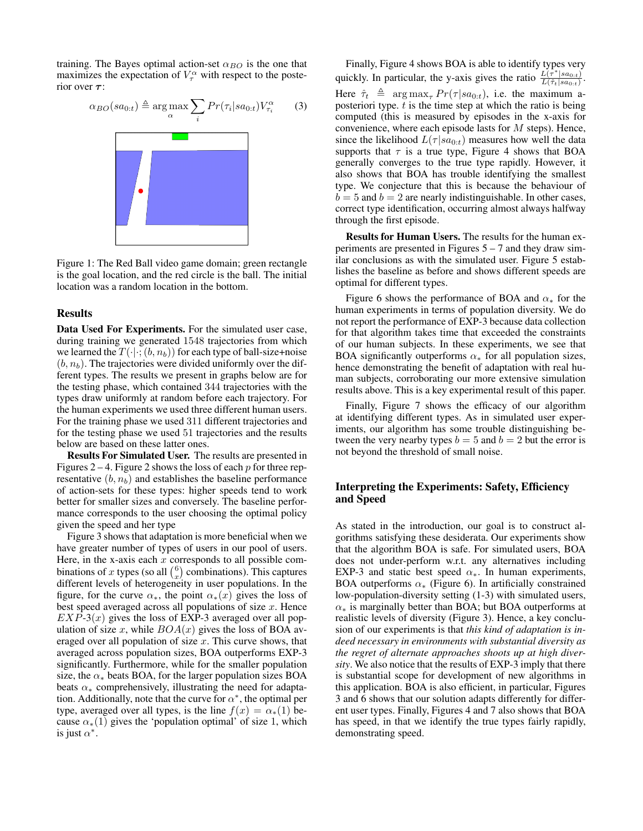training. The Bayes optimal action-set  $\alpha_{BO}$  is the one that maximizes the expectation of  $V_\tau^\alpha$  with respect to the posterior over  $\tau$ :



Figure 1: The Red Ball video game domain; green rectangle is the goal location, and the red circle is the ball. The initial location was a random location in the bottom.

#### Results

Data Used For Experiments. For the simulated user case, during training we generated 1548 trajectories from which we learned the  $T(\cdot|\cdot;(b,n_b))$  for each type of ball-size+noise  $(b, n_b)$ . The trajectories were divided uniformly over the different types. The results we present in graphs below are for the testing phase, which contained 344 trajectories with the types draw uniformly at random before each trajectory. For the human experiments we used three different human users. For the training phase we used 311 different trajectories and for the testing phase we used 51 trajectories and the results below are based on these latter ones.

Results For Simulated User. The results are presented in Figures 2 – 4. Figure 2 shows the loss of each  $p$  for three representative  $(b, n_b)$  and establishes the baseline performance of action-sets for these types: higher speeds tend to work better for smaller sizes and conversely. The baseline performance corresponds to the user choosing the optimal policy given the speed and her type

Figure 3 shows that adaptation is more beneficial when we have greater number of types of users in our pool of users. Here, in the x-axis each  $x$  corresponds to all possible combinations of x types (so all  $\binom{6}{x}$  combinations). This captures different levels of heterogeneity in user populations. In the figure, for the curve  $\alpha_*,$  the point  $\alpha_*(x)$  gives the loss of best speed averaged across all populations of size  $x$ . Hence  $EXP-3(x)$  gives the loss of EXP-3 averaged over all population of size x, while  $BOA(x)$  gives the loss of BOA averaged over all population of size  $x$ . This curve shows, that averaged across population sizes, BOA outperforms EXP-3 significantly. Furthermore, while for the smaller population size, the  $\alpha_*$  beats BOA, for the larger population sizes BOA beats  $\alpha_*$  comprehensively, illustrating the need for adaptation. Additionally, note that the curve for  $\alpha^*$ , the optimal per type, averaged over all types, is the line  $f(x) = \alpha_*(1)$  because  $\alpha_*(1)$  gives the 'population optimal' of size 1, which is just  $\alpha^*$ .

Finally, Figure 4 shows BOA is able to identify types very quickly. In particular, the y-axis gives the ratio  $\frac{L(\tau^*|sa_{0:t})}{L(\tau^*|sa_{0:t})}$  $\frac{L(\tau~|sa_{0:t})}{L(\hat{\tau}_t|sa_{0:t})}$ . Here  $\hat{\tau}_t \triangleq \arg \max_{\tau} Pr(\tau | sa_{0:t})$ , i.e. the maximum aposteriori type.  $t$  is the time step at which the ratio is being computed (this is measured by episodes in the x-axis for convenience, where each episode lasts for  $M$  steps). Hence, since the likelihood  $L(\tau | sa_{0:t})$  measures how well the data supports that  $\tau$  is a true type, Figure 4 shows that BOA generally converges to the true type rapidly. However, it also shows that BOA has trouble identifying the smallest type. We conjecture that this is because the behaviour of  $b = 5$  and  $b = 2$  are nearly indistinguishable. In other cases, correct type identification, occurring almost always halfway through the first episode.

Results for Human Users. The results for the human experiments are presented in Figures  $5 - 7$  and they draw similar conclusions as with the simulated user. Figure 5 establishes the baseline as before and shows different speeds are optimal for different types.

Figure 6 shows the performance of BOA and  $\alpha_*$  for the human experiments in terms of population diversity. We do not report the performance of EXP-3 because data collection for that algorithm takes time that exceeded the constraints of our human subjects. In these experiments, we see that BOA significantly outperforms  $\alpha_*$  for all population sizes, hence demonstrating the benefit of adaptation with real human subjects, corroborating our more extensive simulation results above. This is a key experimental result of this paper.

Finally, Figure 7 shows the efficacy of our algorithm at identifying different types. As in simulated user experiments, our algorithm has some trouble distinguishing between the very nearby types  $b = 5$  and  $b = 2$  but the error is not beyond the threshold of small noise.

# Interpreting the Experiments: Safety, Efficiency and Speed

As stated in the introduction, our goal is to construct algorithms satisfying these desiderata. Our experiments show that the algorithm BOA is safe. For simulated users, BOA does not under-perform w.r.t. any alternatives including EXP-3 and static best speed  $\alpha_{*}$ . In human experiments, BOA outperforms  $\alpha_{*}$  (Figure 6). In artificially constrained low-population-diversity setting (1-3) with simulated users,  $\alpha_*$  is marginally better than BOA; but BOA outperforms at realistic levels of diversity (Figure 3). Hence, a key conclusion of our experiments is that *this kind of adaptation is indeed necessary in environments with substantial diversity as the regret of alternate approaches shoots up at high diversity*. We also notice that the results of EXP-3 imply that there is substantial scope for development of new algorithms in this application. BOA is also efficient, in particular, Figures 3 and 6 shows that our solution adapts differently for different user types. Finally, Figures 4 and 7 also shows that BOA has speed, in that we identify the true types fairly rapidly, demonstrating speed.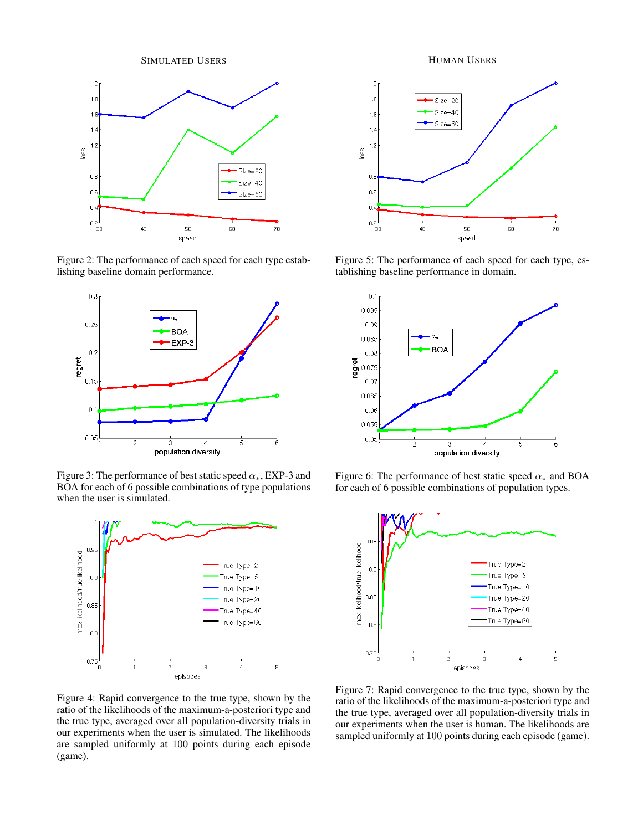SIMULATED USERS



Figure 2: The performance of each speed for each type establishing baseline domain performance.



Figure 3: The performance of best static speed  $\alpha_{*}$ , EXP-3 and BOA for each of 6 possible combinations of type populations when the user is simulated.



Figure 4: Rapid convergence to the true type, shown by the ratio of the likelihoods of the maximum-a-posteriori type and the true type, averaged over all population-diversity trials in our experiments when the user is simulated. The likelihoods are sampled uniformly at 100 points during each episode (game).

HUMAN USERS



Figure 5: The performance of each speed for each type, establishing baseline performance in domain.



Figure 6: The performance of best static speed  $\alpha_*$  and BOA for each of 6 possible combinations of population types.



Figure 7: Rapid convergence to the true type, shown by the ratio of the likelihoods of the maximum-a-posteriori type and the true type, averaged over all population-diversity trials in our experiments when the user is human. The likelihoods are sampled uniformly at 100 points during each episode (game).